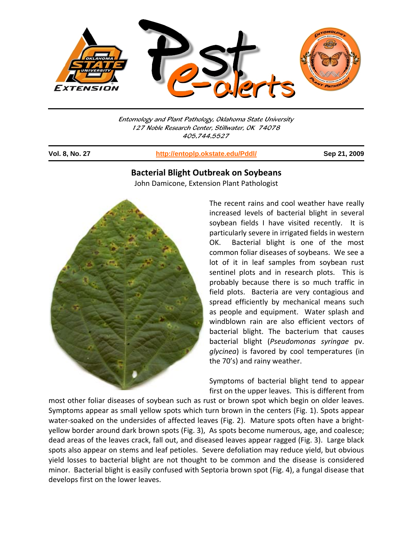

Entomology and Plant Pathology, Oklahoma State University 127 Noble Research Center, Stillwater, OK 74078 405.744.5527

j

**Vol. 8, No. 27 http://entoplp.okstate.edu/Pddl/ Sep 21, 2009**

## **Bacterial Blight Outbreak on Soybeans**

John Damicone, Extension Plant Pathologist



The recent rains and cool weather have really increased levels of bacterial blight in several soybean fields I have visited recently. It is particularly severe in irrigated fields in western OK. Bacterial blight is one of the most common foliar diseases of soybeans. We see a lot of it in leaf samples from soybean rust sentinel plots and in research plots. This is probably because there is so much traffic in field plots. Bacteria are very contagious and spread efficiently by mechanical means such as people and equipment. Water splash and windblown rain are also efficient vectors of bacterial blight. The bacterium that causes bacterial blight (*Pseudomonas syringae* pv. *glycinea*) is favored by cool temperatures (in the 70's) and rainy weather.

Symptoms of bacterial blight tend to appear first on the upper leaves. This is different from

most other foliar diseases of soybean such as rust or brown spot which begin on older leaves. Symptoms appear as small yellow spots which turn brown in the centers (Fig. 1). Spots appear water-soaked on the undersides of affected leaves (Fig. 2). Mature spots often have a brightyellow border around dark brown spots (Fig. 3), As spots become numerous, age, and coalesce; dead areas of the leaves crack, fall out, and diseased leaves appear ragged (Fig. 3). Large black spots also appear on stems and leaf petioles. Severe defoliation may reduce yield, but obvious yield losses to bacterial blight are not thought to be common and the disease is considered minor. Bacterial blight is easily confused with Septoria brown spot (Fig. 4), a fungal disease that develops first on the lower leaves.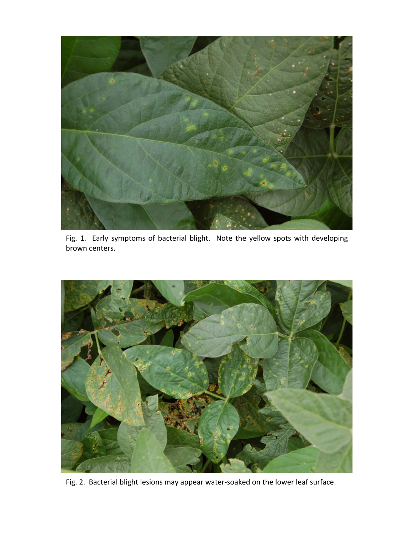

Fig. 1. Early symptoms of bacterial blight. Note the yellow spots with developing brown centers.



Fig. 2. Bacterial blight lesions may appear water‐soaked on the lower leaf surface.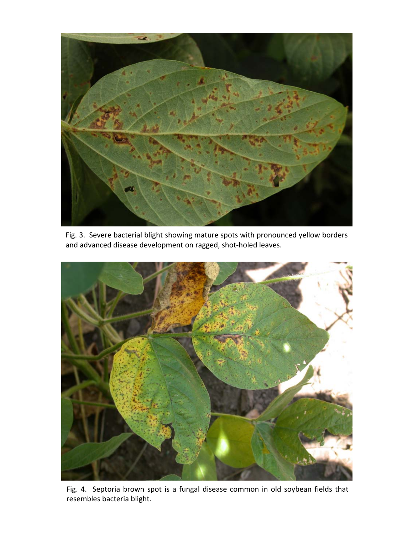

and advanced disease development on ragged, shot-holed leaves. Fig. 3. Severe bacterial blight showing mature spots with pronounced yellow borders



Fig. 4. Septoria brown spot is a fungal disease common in old soybean fields that resembles bacteria blight.